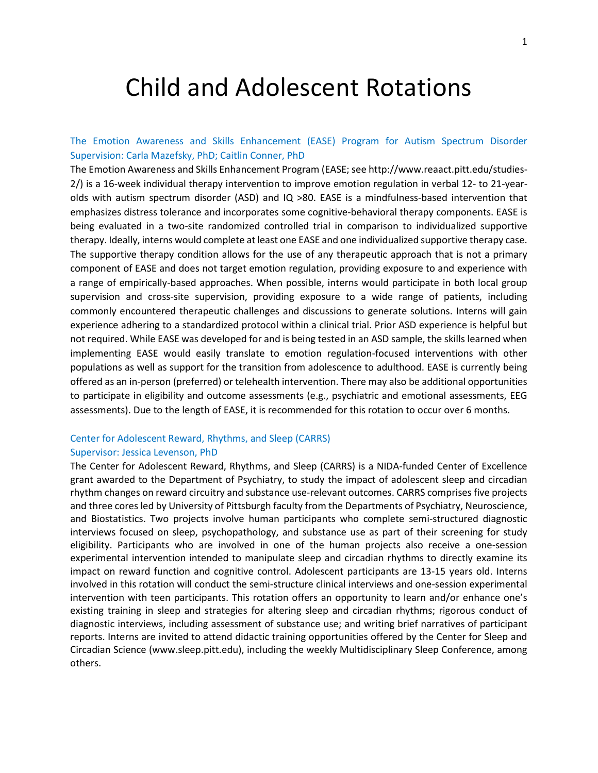# Child and Adolescent Rotations

## The Emotion Awareness and Skills Enhancement (EASE) Program for Autism Spectrum Disorder Supervision: Carla Mazefsky, PhD; Caitlin Conner, PhD

The Emotion Awareness and Skills Enhancement Program (EASE; see http://www.reaact.pitt.edu/studies-2/) is a 16-week individual therapy intervention to improve emotion regulation in verbal 12- to 21-yearolds with autism spectrum disorder (ASD) and IQ >80. EASE is a mindfulness-based intervention that emphasizes distress tolerance and incorporates some cognitive-behavioral therapy components. EASE is being evaluated in a two-site randomized controlled trial in comparison to individualized supportive therapy. Ideally, interns would complete at least one EASE and one individualized supportive therapy case. The supportive therapy condition allows for the use of any therapeutic approach that is not a primary component of EASE and does not target emotion regulation, providing exposure to and experience with a range of empirically-based approaches. When possible, interns would participate in both local group supervision and cross-site supervision, providing exposure to a wide range of patients, including commonly encountered therapeutic challenges and discussions to generate solutions. Interns will gain experience adhering to a standardized protocol within a clinical trial. Prior ASD experience is helpful but not required. While EASE was developed for and is being tested in an ASD sample, the skills learned when implementing EASE would easily translate to emotion regulation-focused interventions with other populations as well as support for the transition from adolescence to adulthood. EASE is currently being offered as an in-person (preferred) or telehealth intervention. There may also be additional opportunities to participate in eligibility and outcome assessments (e.g., psychiatric and emotional assessments, EEG assessments). Due to the length of EASE, it is recommended for this rotation to occur over 6 months.

# Center for Adolescent Reward, Rhythms, and Sleep (CARRS)

## Supervisor: Jessica Levenson, PhD

The Center for Adolescent Reward, Rhythms, and Sleep (CARRS) is a NIDA-funded Center of Excellence grant awarded to the Department of Psychiatry, to study the impact of adolescent sleep and circadian rhythm changes on reward circuitry and substance use-relevant outcomes. CARRS comprises five projects and three cores led by University of Pittsburgh faculty from the Departments of Psychiatry, Neuroscience, and Biostatistics. Two projects involve human participants who complete semi-structured diagnostic interviews focused on sleep, psychopathology, and substance use as part of their screening for study eligibility. Participants who are involved in one of the human projects also receive a one-session experimental intervention intended to manipulate sleep and circadian rhythms to directly examine its impact on reward function and cognitive control. Adolescent participants are 13-15 years old. Interns involved in this rotation will conduct the semi-structure clinical interviews and one-session experimental intervention with teen participants. This rotation offers an opportunity to learn and/or enhance one's existing training in sleep and strategies for altering sleep and circadian rhythms; rigorous conduct of diagnostic interviews, including assessment of substance use; and writing brief narratives of participant reports. Interns are invited to attend didactic training opportunities offered by the Center for Sleep and Circadian Science (www.sleep.pitt.edu), including the weekly Multidisciplinary Sleep Conference, among others.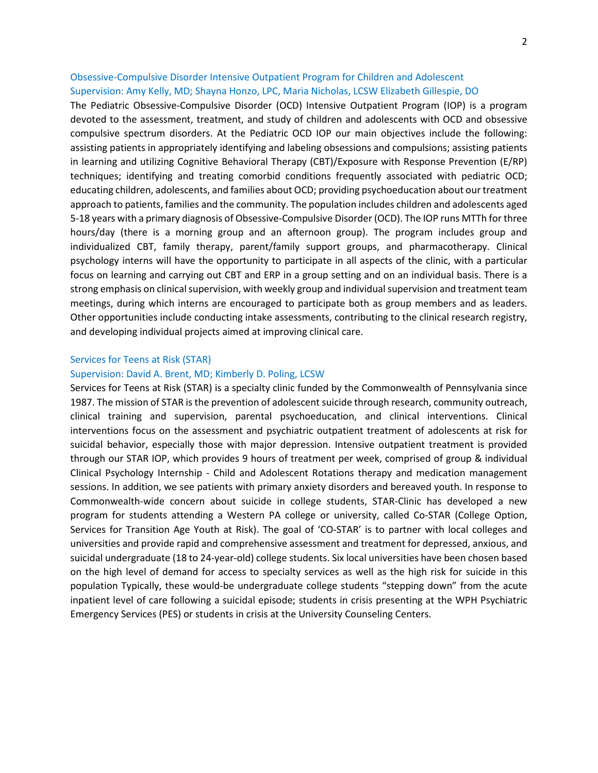## Obsessive-Compulsive Disorder Intensive Outpatient Program for Children and Adolescent Supervision: Amy Kelly, MD; Shayna Honzo, LPC, Maria Nicholas, LCSW Elizabeth Gillespie, DO

The Pediatric Obsessive-Compulsive Disorder (OCD) Intensive Outpatient Program (IOP) is a program devoted to the assessment, treatment, and study of children and adolescents with OCD and obsessive compulsive spectrum disorders. At the Pediatric OCD IOP our main objectives include the following: assisting patients in appropriately identifying and labeling obsessions and compulsions; assisting patients in learning and utilizing Cognitive Behavioral Therapy (CBT)/Exposure with Response Prevention (E/RP) techniques; identifying and treating comorbid conditions frequently associated with pediatric OCD; educating children, adolescents, and families about OCD; providing psychoeducation about our treatment approach to patients, families and the community. The population includes children and adolescents aged 5-18 years with a primary diagnosis of Obsessive-Compulsive Disorder (OCD). The IOP runs MTTh for three hours/day (there is a morning group and an afternoon group). The program includes group and individualized CBT, family therapy, parent/family support groups, and pharmacotherapy. Clinical psychology interns will have the opportunity to participate in all aspects of the clinic, with a particular focus on learning and carrying out CBT and ERP in a group setting and on an individual basis. There is a strong emphasis on clinical supervision, with weekly group and individual supervision and treatment team meetings, during which interns are encouraged to participate both as group members and as leaders. Other opportunities include conducting intake assessments, contributing to the clinical research registry, and developing individual projects aimed at improving clinical care.

## Services for Teens at Risk (STAR)

## Supervision: David A. Brent, MD; Kimberly D. Poling, LCSW

Services for Teens at Risk (STAR) is a specialty clinic funded by the Commonwealth of Pennsylvania since 1987. The mission of STAR is the prevention of adolescent suicide through research, community outreach, clinical training and supervision, parental psychoeducation, and clinical interventions. Clinical interventions focus on the assessment and psychiatric outpatient treatment of adolescents at risk for suicidal behavior, especially those with major depression. Intensive outpatient treatment is provided through our STAR IOP, which provides 9 hours of treatment per week, comprised of group & individual Clinical Psychology Internship - Child and Adolescent Rotations therapy and medication management sessions. In addition, we see patients with primary anxiety disorders and bereaved youth. In response to Commonwealth-wide concern about suicide in college students, STAR-Clinic has developed a new program for students attending a Western PA college or university, called Co-STAR (College Option, Services for Transition Age Youth at Risk). The goal of 'CO-STAR' is to partner with local colleges and universities and provide rapid and comprehensive assessment and treatment for depressed, anxious, and suicidal undergraduate (18 to 24-year-old) college students. Six local universities have been chosen based on the high level of demand for access to specialty services as well as the high risk for suicide in this population Typically, these would-be undergraduate college students "stepping down" from the acute inpatient level of care following a suicidal episode; students in crisis presenting at the WPH Psychiatric Emergency Services (PES) or students in crisis at the University Counseling Centers.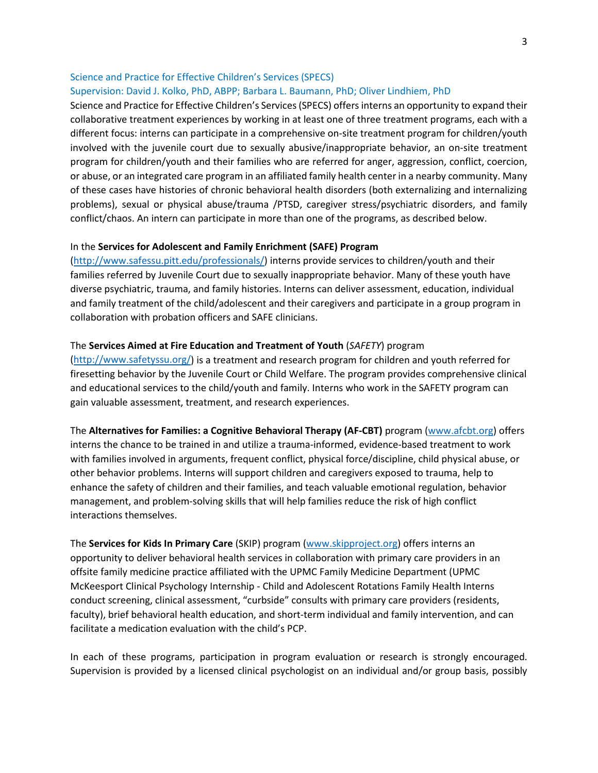## Science and Practice for Effective Children's Services (SPECS) Supervision: David J. Kolko, PhD, ABPP; Barbara L. Baumann, PhD; Oliver Lindhiem, PhD

Science and Practice for Effective Children's Services (SPECS) offers interns an opportunity to expand their collaborative treatment experiences by working in at least one of three treatment programs, each with a different focus: interns can participate in a comprehensive on-site treatment program for children/youth involved with the juvenile court due to sexually abusive/inappropriate behavior, an on-site treatment program for children/youth and their families who are referred for anger, aggression, conflict, coercion, or abuse, or an integrated care program in an affiliated family health center in a nearby community. Many of these cases have histories of chronic behavioral health disorders (both externalizing and internalizing problems), sexual or physical abuse/trauma /PTSD, caregiver stress/psychiatric disorders, and family conflict/chaos. An intern can participate in more than one of the programs, as described below.

## In the **Services for Adolescent and Family Enrichment (SAFE) Program**

[\(http://www.safessu.pitt.edu/professionals/\)](http://www.safessu.pitt.edu/professionals/) interns provide services to children/youth and their families referred by Juvenile Court due to sexually inappropriate behavior. Many of these youth have diverse psychiatric, trauma, and family histories. Interns can deliver assessment, education, individual and family treatment of the child/adolescent and their caregivers and participate in a group program in collaboration with probation officers and SAFE clinicians.

## The **Services Aimed at Fire Education and Treatment of Youth** (*SAFETY*) program

[\(http://www.safetyssu.org/\)](http://www.safetyssu.org/) is a treatment and research program for children and youth referred for firesetting behavior by the Juvenile Court or Child Welfare. The program provides comprehensive clinical and educational services to the child/youth and family. Interns who work in the SAFETY program can gain valuable assessment, treatment, and research experiences.

The **Alternatives for Families: a Cognitive Behavioral Therapy (AF-CBT)** program [\(www.afcbt.org\)](http://www.afcbt.org/) offers interns the chance to be trained in and utilize a trauma-informed, evidence-based treatment to work with families involved in arguments, frequent conflict, physical force/discipline, child physical abuse, or other behavior problems. Interns will support children and caregivers exposed to trauma, help to enhance the safety of children and their families, and teach valuable emotional regulation, behavior management, and problem-solving skills that will help families reduce the risk of high conflict interactions themselves.

The **Services for Kids In Primary Care** (SKIP) program [\(www.skipproject.org\)](http://www.skipproject.org/) offers interns an opportunity to deliver behavioral health services in collaboration with primary care providers in an offsite family medicine practice affiliated with the UPMC Family Medicine Department (UPMC McKeesport Clinical Psychology Internship - Child and Adolescent Rotations Family Health Interns conduct screening, clinical assessment, "curbside" consults with primary care providers (residents, faculty), brief behavioral health education, and short-term individual and family intervention, and can facilitate a medication evaluation with the child's PCP.

In each of these programs, participation in program evaluation or research is strongly encouraged. Supervision is provided by a licensed clinical psychologist on an individual and/or group basis, possibly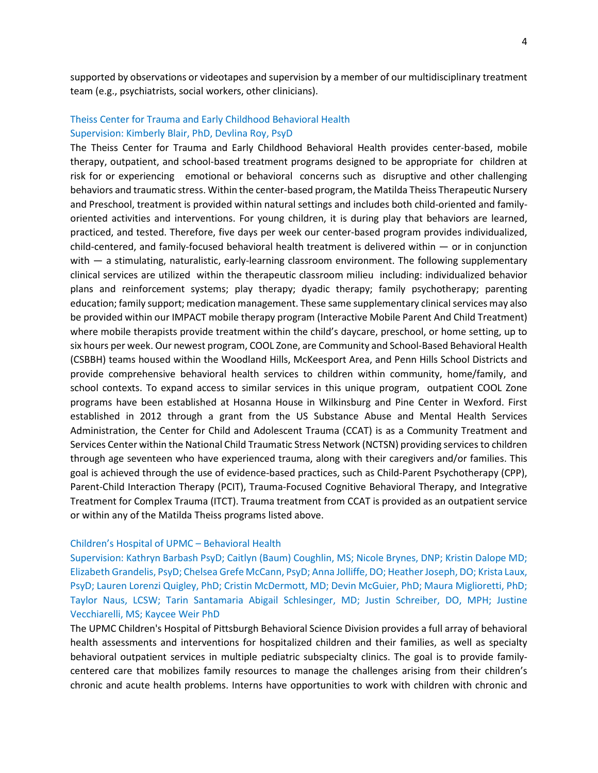supported by observations or videotapes and supervision by a member of our multidisciplinary treatment team (e.g., psychiatrists, social workers, other clinicians).

## Theiss Center for Trauma and Early Childhood Behavioral Health Supervision: Kimberly Blair, PhD, Devlina Roy, PsyD

The Theiss Center for Trauma and Early Childhood Behavioral Health provides center-based, mobile therapy, outpatient, and school-based treatment programs designed to be appropriate for children at risk for or experiencing emotional or behavioral concerns such as disruptive and other challenging behaviors and traumatic stress. Within the center-based program, the Matilda Theiss Therapeutic Nursery and Preschool, treatment is provided within natural settings and includes both child-oriented and familyoriented activities and interventions. For young children, it is during play that behaviors are learned, practiced, and tested. Therefore, five days per week our center-based program provides individualized, child-centered, and family-focused behavioral health treatment is delivered within — or in conjunction with — a stimulating, naturalistic, early-learning classroom environment. The following supplementary clinical services are utilized within the therapeutic classroom milieu including: individualized behavior plans and reinforcement systems; play therapy; dyadic therapy; family psychotherapy; parenting education; family support; medication management. These same supplementary clinical services may also be provided within our IMPACT mobile therapy program (Interactive Mobile Parent And Child Treatment) where mobile therapists provide treatment within the child's daycare, preschool, or home setting, up to six hours per week. Our newest program, COOL Zone, are Community and School-Based Behavioral Health (CSBBH) teams housed within the Woodland Hills, McKeesport Area, and Penn Hills School Districts and provide comprehensive behavioral health services to children within community, home/family, and school contexts. To expand access to similar services in this unique program, outpatient COOL Zone programs have been established at Hosanna House in Wilkinsburg and Pine Center in Wexford. First established in 2012 through a grant from the US Substance Abuse and Mental Health Services Administration, the Center for Child and Adolescent Trauma (CCAT) is as a Community Treatment and Services Center within the National Child Traumatic Stress Network (NCTSN) providing services to children through age seventeen who have experienced trauma, along with their caregivers and/or families. This goal is achieved through the use of evidence-based practices, such as Child-Parent Psychotherapy (CPP), Parent-Child Interaction Therapy (PCIT), Trauma-Focused Cognitive Behavioral Therapy, and Integrative Treatment for Complex Trauma (ITCT). Trauma treatment from CCAT is provided as an outpatient service or within any of the Matilda Theiss programs listed above.

#### Children's Hospital of UPMC – Behavioral Health

Supervision: Kathryn Barbash PsyD; Caitlyn (Baum) Coughlin, MS; Nicole Brynes, DNP; Kristin Dalope MD; Elizabeth Grandelis, PsyD; Chelsea Grefe McCann, PsyD; Anna Jolliffe, DO; Heather Joseph, DO; Krista Laux, PsyD; Lauren Lorenzi Quigley, PhD; Cristin McDermott, MD; Devin McGuier, PhD; Maura Miglioretti, PhD; Taylor Naus, LCSW; Tarin Santamaria Abigail Schlesinger, MD; Justin Schreiber, DO, MPH; Justine Vecchiarelli, MS; Kaycee Weir PhD

The UPMC Children's Hospital of Pittsburgh Behavioral Science Division provides a full array of behavioral health assessments and interventions for hospitalized children and their families, as well as specialty behavioral outpatient services in multiple pediatric subspecialty clinics. The goal is to provide familycentered care that mobilizes family resources to manage the challenges arising from their children's chronic and acute health problems. Interns have opportunities to work with children with chronic and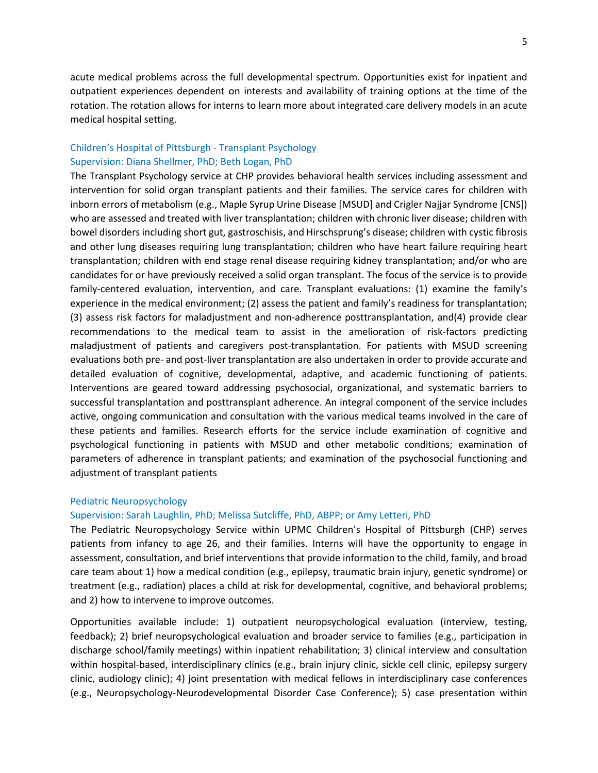acute medical problems across the full developmental spectrum. Opportunities exist for inpatient and outpatient experiences dependent on interests and availability of training options at the time of the rotation. The rotation allows for interns to learn more about integrated care delivery models in an acute medical hospital setting.

## Children's Hospital of Pittsburgh - Transplant Psychology Supervision: Diana Shellmer, PhD; Beth Logan, PhD

The Transplant Psychology service at CHP provides behavioral health services including assessment and intervention for solid organ transplant patients and their families. The service cares for children with inborn errors of metabolism (e.g., Maple Syrup Urine Disease [MSUD] and Crigler Najjar Syndrome [CNS]) who are assessed and treated with liver transplantation; children with chronic liver disease; children with bowel disorders including short gut, gastroschisis, and Hirschsprung's disease; children with cystic fibrosis and other lung diseases requiring lung transplantation; children who have heart failure requiring heart transplantation; children with end stage renal disease requiring kidney transplantation; and/or who are candidates for or have previously received a solid organ transplant. The focus of the service is to provide family-centered evaluation, intervention, and care. Transplant evaluations: (1) examine the family's experience in the medical environment; (2) assess the patient and family's readiness for transplantation; (3) assess risk factors for maladjustment and non-adherence posttransplantation, and(4) provide clear recommendations to the medical team to assist in the amelioration of risk-factors predicting maladjustment of patients and caregivers post-transplantation. For patients with MSUD screening evaluations both pre- and post-liver transplantation are also undertaken in order to provide accurate and detailed evaluation of cognitive, developmental, adaptive, and academic functioning of patients. Interventions are geared toward addressing psychosocial, organizational, and systematic barriers to successful transplantation and posttransplant adherence. An integral component of the service includes active, ongoing communication and consultation with the various medical teams involved in the care of these patients and families. Research efforts for the service include examination of cognitive and psychological functioning in patients with MSUD and other metabolic conditions; examination of parameters of adherence in transplant patients; and examination of the psychosocial functioning and adjustment of transplant patients

## Pediatric Neuropsychology

#### Supervision: Sarah Laughlin, PhD; Melissa Sutcliffe, PhD, ABPP; or Amy Letteri, PhD

The Pediatric Neuropsychology Service within UPMC Children's Hospital of Pittsburgh (CHP) serves patients from infancy to age 26, and their families. Interns will have the opportunity to engage in assessment, consultation, and brief interventions that provide information to the child, family, and broad care team about 1) how a medical condition (e.g., epilepsy, traumatic brain injury, genetic syndrome) or treatment (e.g., radiation) places a child at risk for developmental, cognitive, and behavioral problems; and 2) how to intervene to improve outcomes.

Opportunities available include: 1) outpatient neuropsychological evaluation (interview, testing, feedback); 2) brief neuropsychological evaluation and broader service to families (e.g., participation in discharge school/family meetings) within inpatient rehabilitation; 3) clinical interview and consultation within hospital-based, interdisciplinary clinics (e.g., brain injury clinic, sickle cell clinic, epilepsy surgery clinic, audiology clinic); 4) joint presentation with medical fellows in interdisciplinary case conferences (e.g., Neuropsychology-Neurodevelopmental Disorder Case Conference); 5) case presentation within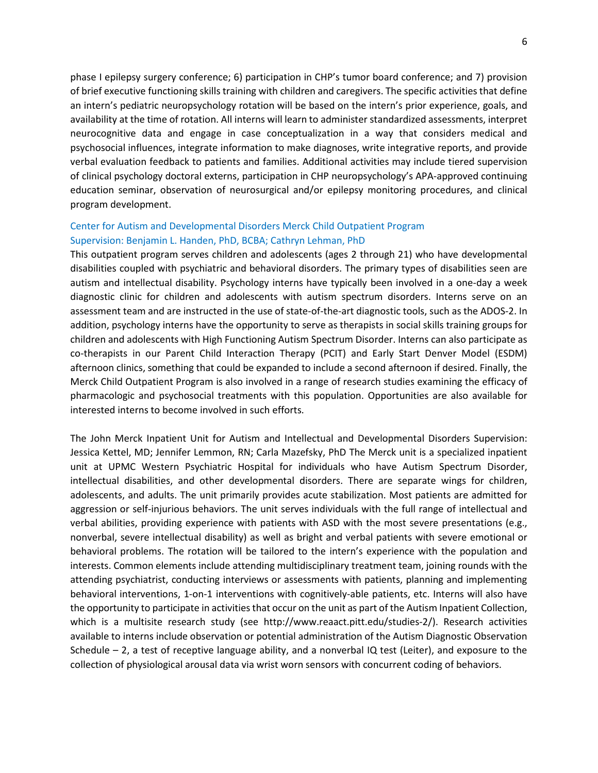phase I epilepsy surgery conference; 6) participation in CHP's tumor board conference; and 7) provision of brief executive functioning skills training with children and caregivers. The specific activities that define an intern's pediatric neuropsychology rotation will be based on the intern's prior experience, goals, and availability at the time of rotation. All interns will learn to administer standardized assessments, interpret neurocognitive data and engage in case conceptualization in a way that considers medical and psychosocial influences, integrate information to make diagnoses, write integrative reports, and provide verbal evaluation feedback to patients and families. Additional activities may include tiered supervision of clinical psychology doctoral externs, participation in CHP neuropsychology's APA-approved continuing education seminar, observation of neurosurgical and/or epilepsy monitoring procedures, and clinical program development.

## Center for Autism and Developmental Disorders Merck Child Outpatient Program Supervision: Benjamin L. Handen, PhD, BCBA; Cathryn Lehman, PhD

This outpatient program serves children and adolescents (ages 2 through 21) who have developmental disabilities coupled with psychiatric and behavioral disorders. The primary types of disabilities seen are autism and intellectual disability. Psychology interns have typically been involved in a one-day a week diagnostic clinic for children and adolescents with autism spectrum disorders. Interns serve on an assessment team and are instructed in the use of state-of-the-art diagnostic tools, such as the ADOS-2. In addition, psychology interns have the opportunity to serve as therapists in social skills training groups for children and adolescents with High Functioning Autism Spectrum Disorder. Interns can also participate as co-therapists in our Parent Child Interaction Therapy (PCIT) and Early Start Denver Model (ESDM) afternoon clinics, something that could be expanded to include a second afternoon if desired. Finally, the Merck Child Outpatient Program is also involved in a range of research studies examining the efficacy of pharmacologic and psychosocial treatments with this population. Opportunities are also available for interested interns to become involved in such efforts.

The John Merck Inpatient Unit for Autism and Intellectual and Developmental Disorders Supervision: Jessica Kettel, MD; Jennifer Lemmon, RN; Carla Mazefsky, PhD The Merck unit is a specialized inpatient unit at UPMC Western Psychiatric Hospital for individuals who have Autism Spectrum Disorder, intellectual disabilities, and other developmental disorders. There are separate wings for children, adolescents, and adults. The unit primarily provides acute stabilization. Most patients are admitted for aggression or self-injurious behaviors. The unit serves individuals with the full range of intellectual and verbal abilities, providing experience with patients with ASD with the most severe presentations (e.g., nonverbal, severe intellectual disability) as well as bright and verbal patients with severe emotional or behavioral problems. The rotation will be tailored to the intern's experience with the population and interests. Common elements include attending multidisciplinary treatment team, joining rounds with the attending psychiatrist, conducting interviews or assessments with patients, planning and implementing behavioral interventions, 1-on-1 interventions with cognitively-able patients, etc. Interns will also have the opportunity to participate in activities that occur on the unit as part of the Autism Inpatient Collection, which is a multisite research study (see http://www.reaact.pitt.edu/studies-2/). Research activities available to interns include observation or potential administration of the Autism Diagnostic Observation Schedule – 2, a test of receptive language ability, and a nonverbal IQ test (Leiter), and exposure to the collection of physiological arousal data via wrist worn sensors with concurrent coding of behaviors.